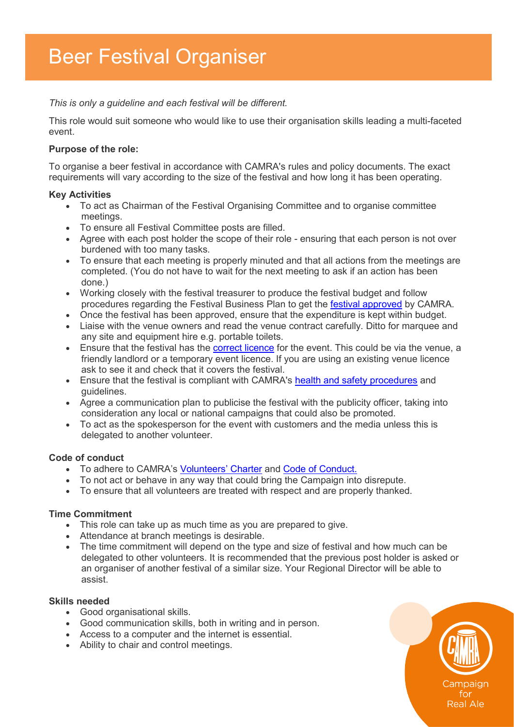*This is only a guideline and each festival will be different.*

This role would suit someone who would like to use their organisation skills leading a multi-faceted event.

### **Purpose of the role:**

To organise a beer festival in accordance with CAMRA's rules and policy documents. The exact requirements will vary according to the size of the festival and how long it has been operating.

#### **Key Activities**

- To act as Chairman of the Festival Organising Committee and to organise committee meetings.
- To ensure all Festival Committee posts are filled.
- Agree with each post holder the scope of their role ensuring that each person is not over burdened with too many tasks.
- To ensure that each meeting is properly minuted and that all actions from the meetings are completed. (You do not have to wait for the next meeting to ask if an action has been done.)
- Working closely with the festival treasurer to produce the festival budget and follow procedures regarding the Festival Business Plan to get the [festival approved](https://www.camra.org.uk/volunteers-area/festival-hub/planning/) by CAMRA.
- Once the festival has been approved, ensure that the expenditure is kept within budget.
- Liaise with the venue owners and read the venue contract carefully. Ditto for marquee and any site and equipment hire e.g. portable toilets.
- Ensure that the festival has the **correct licence** for the event. This could be via the venue, a friendly landlord or a temporary event licence. If you are using an existing venue licence ask to see it and check that it covers the festival.
- Ensure that the festival is compliant with CAMRA's [health and safety procedures](https://www.camra.org.uk/volunteers-area/festival-hub/operational/) and guidelines.
- Agree a communication plan to publicise the festival with the publicity officer, taking into consideration any local or national campaigns that could also be promoted.
- To act as the spokesperson for the event with customers and the media unless this is delegated to another volunteer.

#### **Code of conduct**

- To adhere to CAMRA's [Volunteers' Charter](https://s3-eu-west-1.amazonaws.com/www1-camra/app/uploads/2019/06/28090826/Volunteers-Charter-2019.pdf) and [Code of Conduct.](https://s3-eu-west-1.amazonaws.com/www1-camra/app/uploads/2019/03/29123915/Code-of-Conduct-v8-0.pdf)
- To not act or behave in any way that could bring the Campaign into disrepute.
- To ensure that all volunteers are treated with respect and are properly thanked.

#### **Time Commitment**

- This role can take up as much time as you are prepared to give.
- Attendance at branch meetings is desirable.
- The time commitment will depend on the type and size of festival and how much can be delegated to other volunteers. It is recommended that the previous post holder is asked or an organiser of another festival of a similar size. Your Regional Director will be able to assist.

## **Skills needed**

- Good organisational skills.
- Good communication skills, both in writing and in person.
- Access to a computer and the internet is essential.
- Ability to chair and control meetings.